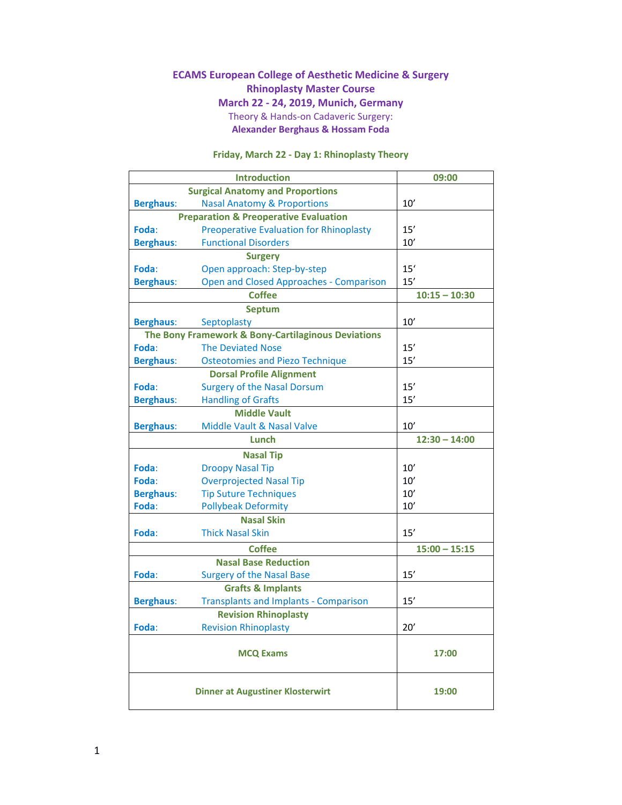#### **ECAMS European College of Aesthetic Medicine & Surgery Rhinoplasty Master Course March 22 ‐ 24, 2019, Munich, Germany** Theory & Hands‐on Cadaveric Surgery: **Alexander Berghaus & Hossam Foda**

## **Friday, March 22 ‐ Day 1: Rhinoplasty Theory**

|                                                    | <b>Introduction</b>                            | 09:00           |
|----------------------------------------------------|------------------------------------------------|-----------------|
|                                                    | <b>Surgical Anatomy and Proportions</b>        |                 |
| <b>Berghaus:</b>                                   | <b>Nasal Anatomy &amp; Proportions</b>         | 10'             |
| <b>Preparation &amp; Preoperative Evaluation</b>   |                                                |                 |
| Foda:                                              | <b>Preoperative Evaluation for Rhinoplasty</b> | 15'             |
| <b>Berghaus:</b>                                   | <b>Functional Disorders</b>                    | 10'             |
|                                                    | <b>Surgery</b>                                 |                 |
| Foda:                                              | Open approach: Step-by-step                    | 15'             |
| <b>Berghaus:</b>                                   | <b>Open and Closed Approaches - Comparison</b> | 15'             |
|                                                    | <b>Coffee</b>                                  | $10:15 - 10:30$ |
|                                                    | <b>Septum</b>                                  |                 |
| <b>Berghaus:</b>                                   | Septoplasty                                    | 10'             |
| The Bony Framework & Bony-Cartilaginous Deviations |                                                |                 |
| Foda:                                              | <b>The Deviated Nose</b>                       | 15'             |
| <b>Berghaus:</b>                                   | <b>Osteotomies and Piezo Technique</b>         | 15'             |
|                                                    | <b>Dorsal Profile Alignment</b>                |                 |
| Foda:                                              | <b>Surgery of the Nasal Dorsum</b>             | 15'             |
| <b>Berghaus:</b>                                   | <b>Handling of Grafts</b>                      | 15'             |
|                                                    | <b>Middle Vault</b>                            |                 |
| <b>Berghaus:</b>                                   | <b>Middle Vault &amp; Nasal Valve</b>          | 10'             |
|                                                    | Lunch                                          | $12:30 - 14:00$ |
|                                                    | <b>Nasal Tip</b>                               |                 |
| Foda:                                              | <b>Droopy Nasal Tip</b>                        | 10'             |
| Foda:                                              | <b>Overprojected Nasal Tip</b>                 | 10'             |
| <b>Berghaus:</b>                                   | <b>Tip Suture Techniques</b>                   | 10'             |
| Foda:                                              | <b>Pollybeak Deformity</b>                     | 10'             |
|                                                    | <b>Nasal Skin</b>                              |                 |
| Foda:                                              | <b>Thick Nasal Skin</b>                        | 15'             |
|                                                    | <b>Coffee</b>                                  | $15:00 - 15:15$ |
|                                                    | <b>Nasal Base Reduction</b>                    |                 |
| Foda:                                              | <b>Surgery of the Nasal Base</b>               | 15'             |
|                                                    | <b>Grafts &amp; Implants</b>                   |                 |
| <b>Berghaus:</b>                                   | <b>Transplants and Implants - Comparison</b>   | 15'             |
|                                                    | <b>Revision Rhinoplasty</b>                    |                 |
| Foda:                                              | <b>Revision Rhinoplasty</b>                    | $20'$           |
|                                                    | <b>MCQ Exams</b>                               | 17:00           |
|                                                    | <b>Dinner at Augustiner Klosterwirt</b>        | 19:00           |